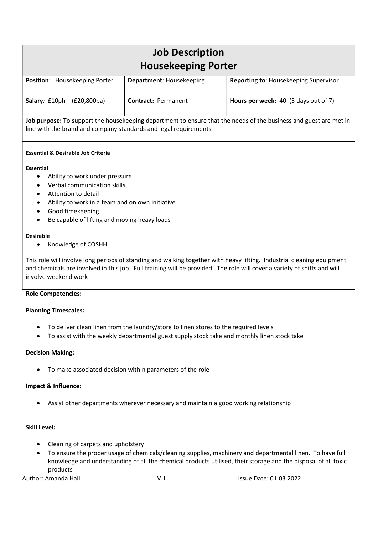# Job Description Housekeeping Porter

| Position: Housekeeping Porter | <b>Department: Housekeeping</b> | <b>Reporting to: Housekeeping Supervisor</b> |
|-------------------------------|---------------------------------|----------------------------------------------|
| Salary: $£10ph - (£20,800pa)$ | <b>Contract: Permanent</b>      | Hours per week: 40 (5 days out of 7)         |

Job purpose: To support the housekeeping department to ensure that the needs of the business and guest are met in line with the brand and company standards and legal requirements

## Essential & Desirable Job Criteria

#### Essential

- Ability to work under pressure
- Verbal communication skills
- Attention to detail
- Ability to work in a team and on own initiative
- Good timekeeping
- Be capable of lifting and moving heavy loads

#### Desirable

Knowledge of COSHH

This role will involve long periods of standing and walking together with heavy lifting. Industrial cleaning equipment and chemicals are involved in this job. Full training will be provided. The role will cover a variety of shifts and will involve weekend work

## Role Competencies:

## Planning Timescales:

- To deliver clean linen from the laundry/store to linen stores to the required levels
- To assist with the weekly departmental guest supply stock take and monthly linen stock take

## Decision Making:

To make associated decision within parameters of the role

## Impact & Influence:

Assist other departments wherever necessary and maintain a good working relationship

## Skill Level:

- Cleaning of carpets and upholstery
- To ensure the proper usage of chemicals/cleaning supplies, machinery and departmental linen. To have full knowledge and understanding of all the chemical products utilised, their storage and the disposal of all toxic products